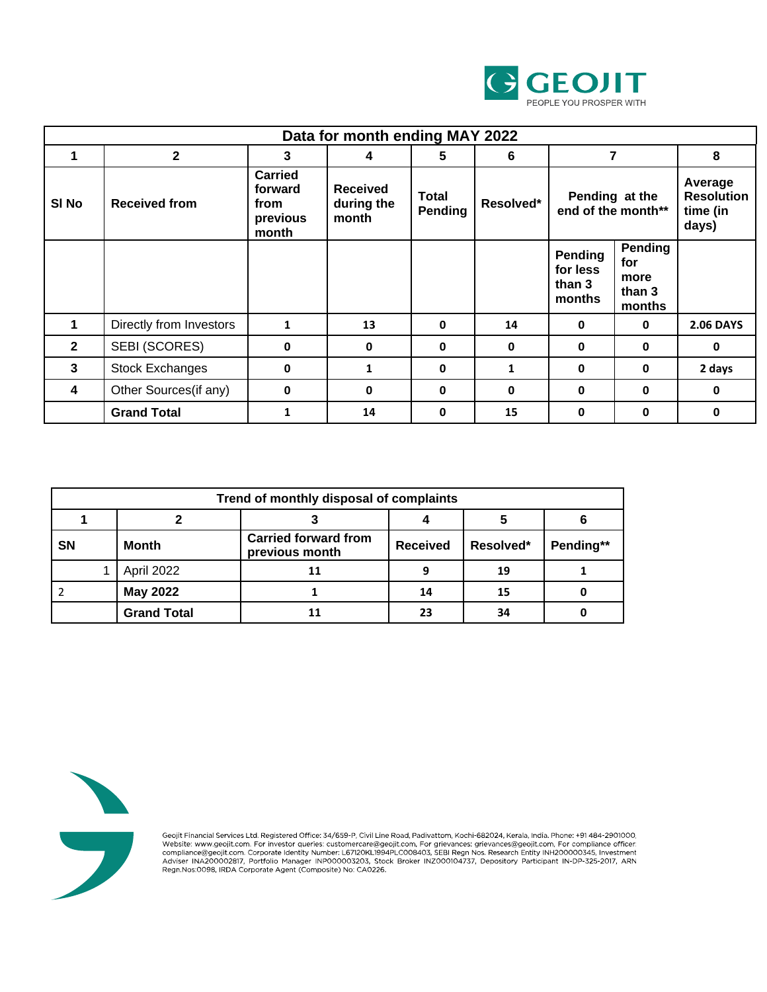

| Data for month ending MAY 2022 |                         |                                                        |                                        |                  |           |                                                |                                            |                                                   |
|--------------------------------|-------------------------|--------------------------------------------------------|----------------------------------------|------------------|-----------|------------------------------------------------|--------------------------------------------|---------------------------------------------------|
|                                | $\mathbf{2}$            | 3                                                      | 4                                      | 5                | 6         | 7                                              |                                            | 8                                                 |
| SI <sub>No</sub>               | <b>Received from</b>    | <b>Carried</b><br>forward<br>from<br>previous<br>month | <b>Received</b><br>during the<br>month | Total<br>Pending | Resolved* | Pending at the<br>end of the month**           |                                            | Average<br><b>Resolution</b><br>time (in<br>days) |
|                                |                         |                                                        |                                        |                  |           | <b>Pending</b><br>for less<br>than 3<br>months | Pending<br>for<br>more<br>than 3<br>months |                                                   |
|                                | Directly from Investors | $\mathbf{1}$                                           | 13                                     | $\Omega$         | 14        | 0                                              | 0                                          | <b>2.06 DAYS</b>                                  |
| $\mathbf{2}$                   | SEBI (SCORES)           | 0                                                      | 0                                      | $\mathbf{0}$     | 0         | 0                                              | 0                                          | 0                                                 |
| 3                              | <b>Stock Exchanges</b>  | 0                                                      | 1                                      | $\mathbf{0}$     | 1         | 0                                              | 0                                          | 2 days                                            |
| 4                              | Other Sources(if any)   | 0                                                      | 0                                      | $\mathbf{0}$     | 0         | 0                                              | 0                                          | $\mathbf 0$                                       |
|                                | <b>Grand Total</b>      | 1                                                      | 14                                     | $\mathbf{0}$     | 15        | 0                                              | 0                                          | 0                                                 |

| Trend of monthly disposal of complaints |                    |                                               |                 |           |           |  |  |
|-----------------------------------------|--------------------|-----------------------------------------------|-----------------|-----------|-----------|--|--|
|                                         |                    |                                               |                 |           |           |  |  |
| <b>SN</b>                               | <b>Month</b>       | <b>Carried forward from</b><br>previous month | <b>Received</b> | Resolved* | Pending** |  |  |
|                                         | April 2022         | 11                                            |                 | 19        |           |  |  |
|                                         | <b>May 2022</b>    |                                               | 14              | 15        |           |  |  |
|                                         | <b>Grand Total</b> | 11                                            | 23              | 34        |           |  |  |



Geojit Financial Services Ltd. Registered Office: 34/659-P, Civil Line Road, Padivattom, Kochi-682024, Kerala, India. Phone: +91 484-2901000, Website: www.geojit.com. For investor queries: customercare@geojit.com, For grie